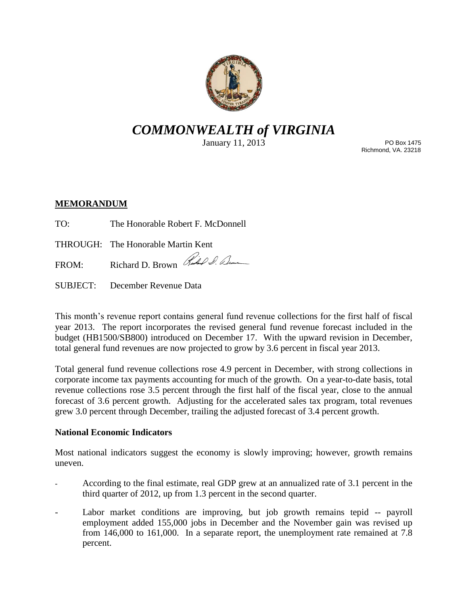

# *COMMONWEALTH of VIRGINIA*

January 11, 2013

PO Box 1475 Richmond, VA. 23218

## **MEMORANDUM**

TO: The Honorable Robert F. McDonnell

THROUGH: The Honorable Martin Kent

FROM: Richard D. Brown Richard D. Elm

SUBJECT: December Revenue Data

This month's revenue report contains general fund revenue collections for the first half of fiscal year 2013. The report incorporates the revised general fund revenue forecast included in the budget (HB1500/SB800) introduced on December 17. With the upward revision in December, total general fund revenues are now projected to grow by 3.6 percent in fiscal year 2013.

Total general fund revenue collections rose 4.9 percent in December, with strong collections in corporate income tax payments accounting for much of the growth. On a year-to-date basis, total revenue collections rose 3.5 percent through the first half of the fiscal year, close to the annual forecast of 3.6 percent growth. Adjusting for the accelerated sales tax program, total revenues grew 3.0 percent through December, trailing the adjusted forecast of 3.4 percent growth.

## **National Economic Indicators**

Most national indicators suggest the economy is slowly improving; however, growth remains uneven.

- According to the final estimate, real GDP grew at an annualized rate of 3.1 percent in the third quarter of 2012, up from 1.3 percent in the second quarter.
- Labor market conditions are improving, but job growth remains tepid -- payroll employment added 155,000 jobs in December and the November gain was revised up from 146,000 to 161,000. In a separate report, the unemployment rate remained at 7.8 percent.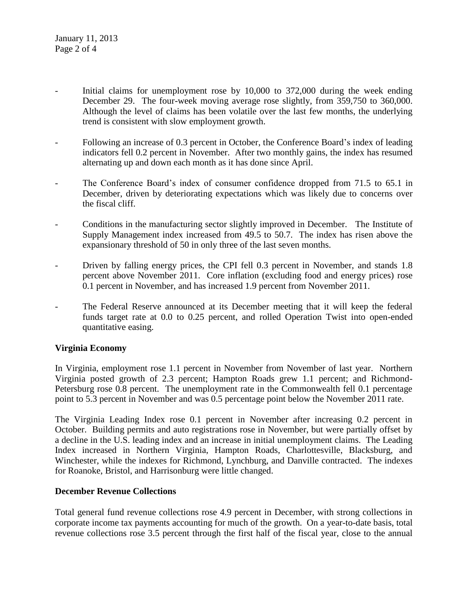- Initial claims for unemployment rose by 10,000 to 372,000 during the week ending December 29. The four-week moving average rose slightly, from 359,750 to 360,000. Although the level of claims has been volatile over the last few months, the underlying trend is consistent with slow employment growth.
- Following an increase of 0.3 percent in October, the Conference Board's index of leading indicators fell 0.2 percent in November. After two monthly gains, the index has resumed alternating up and down each month as it has done since April.
- The Conference Board's index of consumer confidence dropped from 71.5 to 65.1 in December, driven by deteriorating expectations which was likely due to concerns over the fiscal cliff.
- Conditions in the manufacturing sector slightly improved in December. The Institute of Supply Management index increased from 49.5 to 50.7. The index has risen above the expansionary threshold of 50 in only three of the last seven months.
- Driven by falling energy prices, the CPI fell 0.3 percent in November, and stands 1.8 percent above November 2011. Core inflation (excluding food and energy prices) rose 0.1 percent in November, and has increased 1.9 percent from November 2011.
- The Federal Reserve announced at its December meeting that it will keep the federal funds target rate at 0.0 to 0.25 percent, and rolled Operation Twist into open-ended quantitative easing.

## **Virginia Economy**

In Virginia, employment rose 1.1 percent in November from November of last year. Northern Virginia posted growth of 2.3 percent; Hampton Roads grew 1.1 percent; and Richmond-Petersburg rose 0.8 percent. The unemployment rate in the Commonwealth fell 0.1 percentage point to 5.3 percent in November and was 0.5 percentage point below the November 2011 rate.

The Virginia Leading Index rose 0.1 percent in November after increasing 0.2 percent in October. Building permits and auto registrations rose in November, but were partially offset by a decline in the U.S. leading index and an increase in initial unemployment claims. The Leading Index increased in Northern Virginia, Hampton Roads, Charlottesville, Blacksburg, and Winchester, while the indexes for Richmond, Lynchburg, and Danville contracted. The indexes for Roanoke, Bristol, and Harrisonburg were little changed.

## **December Revenue Collections**

Total general fund revenue collections rose 4.9 percent in December, with strong collections in corporate income tax payments accounting for much of the growth. On a year-to-date basis, total revenue collections rose 3.5 percent through the first half of the fiscal year, close to the annual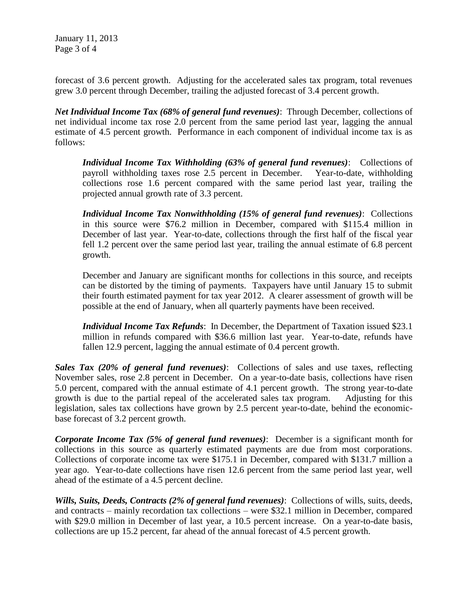January 11, 2013 Page 3 of 4

forecast of 3.6 percent growth. Adjusting for the accelerated sales tax program, total revenues grew 3.0 percent through December, trailing the adjusted forecast of 3.4 percent growth.

*Net Individual Income Tax (68% of general fund revenues)*: Through December, collections of net individual income tax rose 2.0 percent from the same period last year, lagging the annual estimate of 4.5 percent growth. Performance in each component of individual income tax is as follows:

*Individual Income Tax Withholding (63% of general fund revenues)*: Collections of payroll withholding taxes rose 2.5 percent in December. Year-to-date, withholding collections rose 1.6 percent compared with the same period last year, trailing the projected annual growth rate of 3.3 percent.

*Individual Income Tax Nonwithholding (15% of general fund revenues)*: Collections in this source were \$76.2 million in December, compared with \$115.4 million in December of last year. Year-to-date, collections through the first half of the fiscal year fell 1.2 percent over the same period last year, trailing the annual estimate of 6.8 percent growth.

December and January are significant months for collections in this source, and receipts can be distorted by the timing of payments. Taxpayers have until January 15 to submit their fourth estimated payment for tax year 2012. A clearer assessment of growth will be possible at the end of January, when all quarterly payments have been received.

*Individual Income Tax Refunds*: In December, the Department of Taxation issued \$23.1 million in refunds compared with \$36.6 million last year. Year-to-date, refunds have fallen 12.9 percent, lagging the annual estimate of 0.4 percent growth.

*Sales Tax (20% of general fund revenues)*: Collections of sales and use taxes, reflecting November sales, rose 2.8 percent in December. On a year-to-date basis, collections have risen 5.0 percent, compared with the annual estimate of 4.1 percent growth. The strong year-to-date growth is due to the partial repeal of the accelerated sales tax program. Adjusting for this legislation, sales tax collections have grown by 2.5 percent year-to-date, behind the economicbase forecast of 3.2 percent growth.

*Corporate Income Tax (5% of general fund revenues)*: December is a significant month for collections in this source as quarterly estimated payments are due from most corporations. Collections of corporate income tax were \$175.1 in December, compared with \$131.7 million a year ago. Year-to-date collections have risen 12.6 percent from the same period last year, well ahead of the estimate of a 4.5 percent decline.

*Wills, Suits, Deeds, Contracts (2% of general fund revenues)*: Collections of wills, suits, deeds, and contracts – mainly recordation tax collections – were \$32.1 million in December, compared with \$29.0 million in December of last year, a 10.5 percent increase. On a year-to-date basis, collections are up 15.2 percent, far ahead of the annual forecast of 4.5 percent growth.